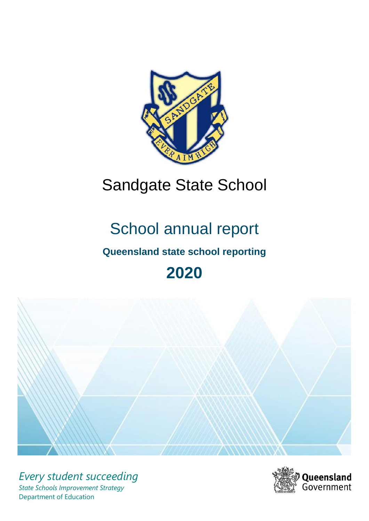

# Sandgate State School

# School annual report

# **Queensland state school reporting**

# **2020**



*Every student succeeding State Schools Improvement Strategy* Department of Education

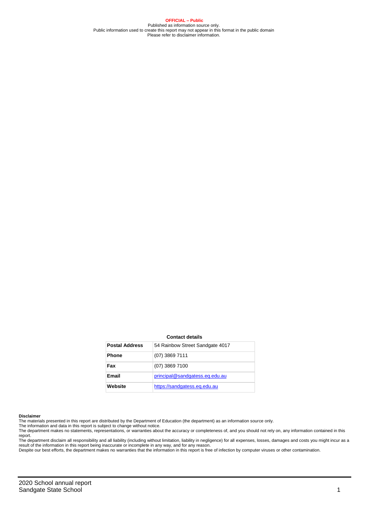**OFFICIAL – Public** Published as information source only. Public information used to create this report may not appear in this format in the public domain Please refer to disclaimer information.

#### **Contact details**

| <b>Postal Address</b> | 54 Rainbow Street Sandgate 4017 |
|-----------------------|---------------------------------|
| <b>Phone</b>          | $(07)$ 3869 7111                |
| Fax                   | (07) 3869 7100                  |
| Email                 | principal@sandgatess.eq.edu.au  |
| Website               | https://sandgatess.eg.edu.au    |

#### **Disclaimer**

The materials presented in this report are distributed by the Department of Education (the department) as an information source only. The information and data in this report is subject to change without notice.

The department makes no statements, representations, or warranties about the accuracy or completeness of, and you should not rely on, any information contained in this report.

The department disclaim all responsibility and all liability (including without limitation, liability in negligence) for all expenses, losses, damages and costs you might incur as a<br>result of the information in this report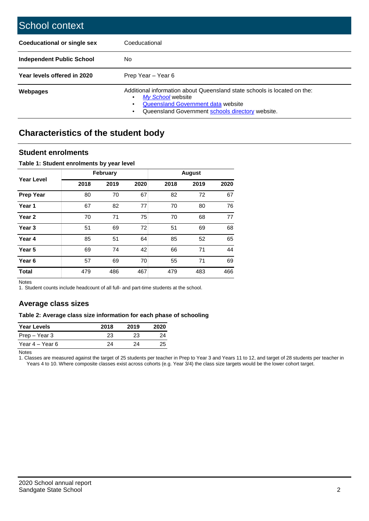| School context                     |                                                                                                                                                                                              |
|------------------------------------|----------------------------------------------------------------------------------------------------------------------------------------------------------------------------------------------|
| <b>Coeducational or single sex</b> | Coeducational                                                                                                                                                                                |
| <b>Independent Public School</b>   | No                                                                                                                                                                                           |
| Year levels offered in 2020        | Prep Year - Year 6                                                                                                                                                                           |
| <b>Webpages</b>                    | Additional information about Queensland state schools is located on the:<br>My School website<br>٠<br>Queensland Government data website<br>Queensland Government schools directory website. |

# **Characteristics of the student body**

### **Student enrolments**

#### **Table 1: Student enrolments by year level**

|                   |      | <b>February</b> |      |      | <b>August</b> |      |
|-------------------|------|-----------------|------|------|---------------|------|
| Year Level        | 2018 | 2019            | 2020 | 2018 | 2019          | 2020 |
| <b>Prep Year</b>  | 80   | 70              | 67   | 82   | 72            | 67   |
| Year 1            | 67   | 82              | 77   | 70   | 80            | 76   |
| Year <sub>2</sub> | 70   | 71              | 75   | 70   | 68            | 77   |
| Year 3            | 51   | 69              | 72   | 51   | 69            | 68   |
| Year 4            | 85   | 51              | 64   | 85   | 52            | 65   |
| Year 5            | 69   | 74              | 42   | 66   | 71            | 44   |
| Year <sub>6</sub> | 57   | 69              | 70   | 55   | 71            | 69   |
| <b>Total</b>      | 479  | 486             | 467  | 479  | 483           | 466  |

Notes

1. Student counts include headcount of all full- and part-time students at the school.

### **Average class sizes**

#### **Table 2: Average class size information for each phase of schooling**

| <b>Year Levels</b> | 2018 | 2019 | 2020 |
|--------------------|------|------|------|
| Prep – Year 3      | 23   | 23   | 24   |
| Year 4 – Year 6    | 24   | つハ   | 25   |

Notes

1. Classes are measured against the target of 25 students per teacher in Prep to Year 3 and Years 11 to 12, and target of 28 students per teacher in Years 4 to 10. Where composite classes exist across cohorts (e.g. Year 3/4) the class size targets would be the lower cohort target.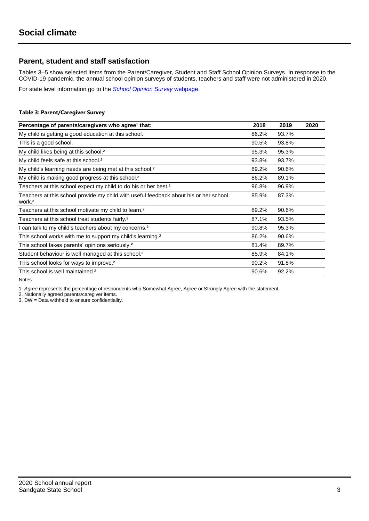## **Parent, student and staff satisfaction**

Tables 3–5 show selected items from the Parent/Caregiver, Student and Staff School Opinion Surveys. In response to the COVID-19 pandemic, the annual school opinion surveys of students, teachers and staff were not administered in 2020.

For state level information go to the *[School Opinion Survey](https://qed.qld.gov.au/publications/reports/statistics/schooling/schools/schoolopinionsurvey)* [webpage.](https://qed.qld.gov.au/publications/reports/statistics/schooling/schools/schoolopinionsurvey)

#### **Table 3: Parent/Caregiver Survey**

| Percentage of parents/caregivers who agree <sup>1</sup> that:                                               | 2018  | 2019  | 2020 |
|-------------------------------------------------------------------------------------------------------------|-------|-------|------|
| My child is getting a good education at this school.                                                        | 86.2% | 93.7% |      |
| This is a good school.                                                                                      | 90.5% | 93.8% |      |
| My child likes being at this school. <sup>2</sup>                                                           | 95.3% | 95.3% |      |
| My child feels safe at this school. <sup>2</sup>                                                            | 93.8% | 93.7% |      |
| My child's learning needs are being met at this school. <sup>2</sup>                                        | 89.2% | 90.6% |      |
| My child is making good progress at this school. <sup>2</sup>                                               | 86.2% | 89.1% |      |
| Teachers at this school expect my child to do his or her best. <sup>2</sup>                                 | 96.8% | 96.9% |      |
| Teachers at this school provide my child with useful feedback about his or her school<br>work. <sup>2</sup> | 85.9% | 87.3% |      |
| Teachers at this school motivate my child to learn. <sup>2</sup>                                            | 89.2% | 90.6% |      |
| Teachers at this school treat students fairly. <sup>2</sup>                                                 | 87.1% | 93.5% |      |
| I can talk to my child's teachers about my concerns. <sup>2</sup>                                           | 90.8% | 95.3% |      |
| This school works with me to support my child's learning. <sup>2</sup>                                      | 86.2% | 90.6% |      |
| This school takes parents' opinions seriously. <sup>2</sup>                                                 | 81.4% | 89.7% |      |
| Student behaviour is well managed at this school. <sup>2</sup>                                              | 85.9% | 84.1% |      |
| This school looks for ways to improve. <sup>2</sup>                                                         | 90.2% | 91.8% |      |
| This school is well maintained. <sup>2</sup>                                                                | 90.6% | 92.2% |      |

Notes

1. *Agree* represents the percentage of respondents who Somewhat Agree, Agree or Strongly Agree with the statement.

2. Nationally agreed parents/caregiver items.

3. DW = Data withheld to ensure confidentiality.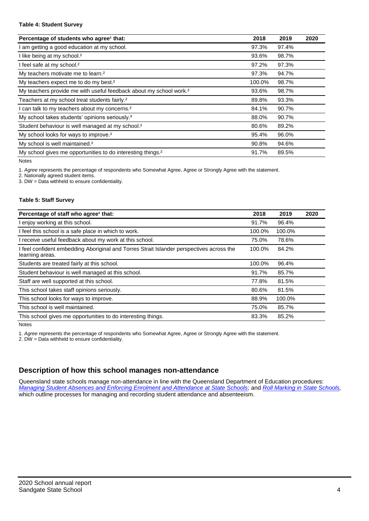#### **Table 4: Student Survey**

| Percentage of students who agree <sup>1</sup> that:                            | 2018   | 2019  | 2020 |
|--------------------------------------------------------------------------------|--------|-------|------|
| am getting a good education at my school.                                      | 97.3%  | 97.4% |      |
| I like being at my school. <sup>2</sup>                                        | 93.6%  | 98.7% |      |
| I feel safe at my school. <sup>2</sup>                                         | 97.2%  | 97.3% |      |
| My teachers motivate me to learn. <sup>2</sup>                                 | 97.3%  | 94.7% |      |
| My teachers expect me to do my best. <sup>2</sup>                              | 100.0% | 98.7% |      |
| My teachers provide me with useful feedback about my school work. <sup>2</sup> | 93.6%  | 98.7% |      |
| Teachers at my school treat students fairly. <sup>2</sup>                      | 89.8%  | 93.3% |      |
| can talk to my teachers about my concerns. <sup>2</sup>                        | 84.1%  | 90.7% |      |
| My school takes students' opinions seriously. <sup>2</sup>                     | 88.0%  | 90.7% |      |
| Student behaviour is well managed at my school. <sup>2</sup>                   | 80.6%  | 89.2% |      |
| My school looks for ways to improve. <sup>2</sup>                              | 95.4%  | 96.0% |      |
| My school is well maintained. <sup>2</sup>                                     | 90.8%  | 94.6% |      |
| My school gives me opportunities to do interesting things. <sup>2</sup>        | 91.7%  | 89.5% |      |

Notes

1. *Agree* represents the percentage of respondents who Somewhat Agree, Agree or Strongly Agree with the statement.

2. Nationally agreed student items.

3. DW = Data withheld to ensure confidentiality.

#### **Table 5: Staff Survey**

| Percentage of staff who agree <sup>1</sup> that:                                                            | 2018   | 2019   | 2020 |
|-------------------------------------------------------------------------------------------------------------|--------|--------|------|
| I enjoy working at this school.                                                                             | 91.7%  | 96.4%  |      |
| I feel this school is a safe place in which to work.                                                        | 100.0% | 100.0% |      |
| I receive useful feedback about my work at this school.                                                     | 75.0%  | 78.6%  |      |
| I feel confident embedding Aboriginal and Torres Strait Islander perspectives across the<br>learning areas. | 100.0% | 84.2%  |      |
| Students are treated fairly at this school.                                                                 | 100.0% | 96.4%  |      |
| Student behaviour is well managed at this school.                                                           | 91.7%  | 85.7%  |      |
| Staff are well supported at this school.                                                                    | 77.8%  | 81.5%  |      |
| This school takes staff opinions seriously.                                                                 | 80.6%  | 81.5%  |      |
| This school looks for ways to improve.                                                                      | 88.9%  | 100.0% |      |
| This school is well maintained.                                                                             | 75.0%  | 85.7%  |      |
| This school gives me opportunities to do interesting things.                                                | 83.3%  | 85.2%  |      |

Notes

1. *Agree* represents the percentage of respondents who Somewhat Agree, Agree or Strongly Agree with the statement.

2. DW = Data withheld to ensure confidentiality.

## **Description of how this school manages non-attendance**

Queensland state schools manage non-attendance in line with the Queensland Department of Education procedures: *[Managing Student Absences and Enforcing Enrolment and Attendance at State Schools](https://ppr.qed.qld.gov.au/pp/managing-student-absences-and-enforcing-enrolment-and-attendance-at-state-schools-procedure)*; and *[Roll Marking in State Schools,](https://ppr.qed.qld.gov.au/pp/roll-marking-in-state-schools-procedure)* which outline processes for managing and recording student attendance and absenteeism.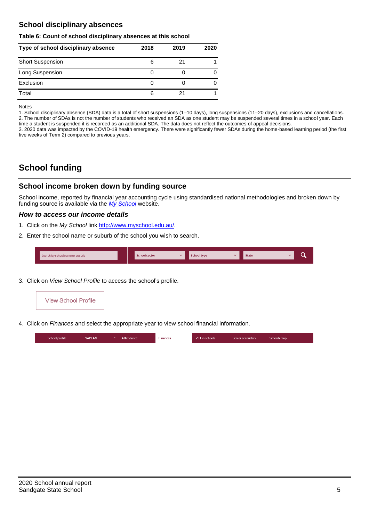## **School disciplinary absences**

#### **Table 6: Count of school disciplinary absences at this school**

| Type of school disciplinary absence | 2018 | 2019 | 2020 |
|-------------------------------------|------|------|------|
| <b>Short Suspension</b>             | 6    | 21   |      |
| Long Suspension                     |      |      |      |
| Exclusion                           |      |      |      |
| Total                               | 6    |      |      |

Notes

1. School disciplinary absence (SDA) data is a total of short suspensions (1–10 days), long suspensions (11–20 days), exclusions and cancellations. 2. The number of SDAs is not the number of students who received an SDA as one student may be suspended several times in a school year. Each time a student is suspended it is recorded as an additional SDA. The data does not reflect the outcomes of appeal decisions.

3. 2020 data was impacted by the COVID-19 health emergency. There were significantly fewer SDAs during the home-based learning period (the first five weeks of Term 2) compared to previous years.

# **School funding**

## **School income broken down by funding source**

School income, reported by financial year accounting cycle using standardised national methodologies and broken down by funding source is available via the *[My School](http://www.myschool.edu.au/)* website.

#### *How to access our income details*

- 1. Click on the *My School* link [http://www.myschool.edu.au/.](http://www.myschool.edu.au/)
- 2. Enter the school name or suburb of the school you wish to search.

| Search by school name or suburb | <b>School sector</b> | <b>School type</b><br>447 | <b>State</b> | ∽ |
|---------------------------------|----------------------|---------------------------|--------------|---|
|                                 |                      |                           |              |   |

3. Click on *View School Profile* to access the school's profile.



4. Click on *Finances* and select the appropriate year to view school financial information.

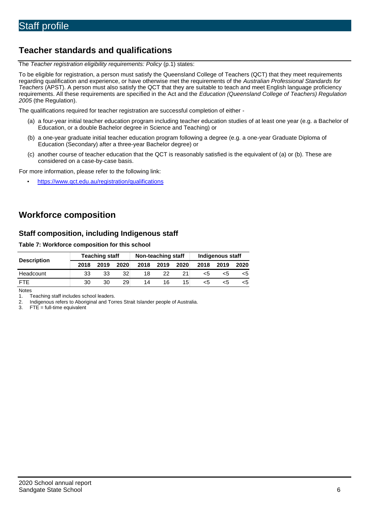# **Teacher standards and qualifications**

The *Teacher registration eligibility requirements: Policy* (p.1) states:

To be eligible for registration, a person must satisfy the Queensland College of Teachers (QCT) that they meet requirements regarding qualification and experience, or have otherwise met the requirements of the *Australian Professional Standards for Teachers* (APST). A person must also satisfy the QCT that they are suitable to teach and meet English language proficiency requirements. All these requirements are specified in the Act and the *Education (Queensland College of Teachers) Regulation 2005* (the Regulation).

The qualifications required for teacher registration are successful completion of either -

- (a) a four-year initial teacher education program including teacher education studies of at least one year (e.g. a Bachelor of Education, or a double Bachelor degree in Science and Teaching) or
- (b) a one-year graduate initial teacher education program following a degree (e.g. a one-year Graduate Diploma of Education (Secondary) after a three-year Bachelor degree) or
- (c) another course of teacher education that the QCT is reasonably satisfied is the equivalent of (a) or (b). These are considered on a case-by-case basis.

For more information, please refer to the following link:

• <https://www.qct.edu.au/registration/qualifications>

# **Workforce composition**

## **Staff composition, including Indigenous staff**

#### **Table 7: Workforce composition for this school**

|                    | <b>Teaching staff</b> |      |      | Non-teaching staff |      |      | Indigenous staff |      |      |
|--------------------|-----------------------|------|------|--------------------|------|------|------------------|------|------|
| <b>Description</b> | 2018                  | 2019 | 2020 | 2018               | 2019 | 2020 | 2018             | 2019 | 2020 |
| Headcount          | 33                    | 33   | 32   | 18                 | 22   |      | <5               | ה>   |      |
| <b>FTE</b>         | 30                    | 30   | 29   | 14                 | 16   | 15   | <5               | ה>   |      |

Notes

1. Teaching staff includes school leaders.<br>2. Indigenous refers to Aboriginal and Tor 2. Indigenous refers to Aboriginal and Torres Strait Islander people of Australia.<br>3. FTE = full-time equivalent

 $FTE = full-time equivalent$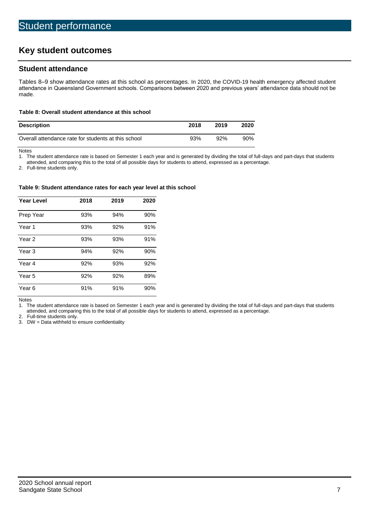# **Key student outcomes**

## **Student attendance**

Tables 8–9 show attendance rates at this school as percentages. In 2020, the COVID-19 health emergency affected student attendance in Queensland Government schools. Comparisons between 2020 and previous years' attendance data should not be made.

#### **Table 8: Overall student attendance at this school**

| <b>Description</b>                                  | 2018 | 2019 | 2020   |
|-----------------------------------------------------|------|------|--------|
| Overall attendance rate for students at this school | 93%  | 92%  | $90\%$ |

Notes<br>1. Th

The student attendance rate is based on Semester 1 each year and is generated by dividing the total of full-days and part-days that students

attended, and comparing this to the total of all possible days for students to attend, expressed as a percentage.

2. Full-time students only.

#### **Table 9: Student attendance rates for each year level at this school**

| <b>Year Level</b> | 2018 | 2019 | 2020 |
|-------------------|------|------|------|
| Prep Year         | 93%  | 94%  | 90%  |
| Year <sub>1</sub> | 93%  | 92%  | 91%  |
| Year 2            | 93%  | 93%  | 91%  |
| Year <sub>3</sub> | 94%  | 92%  | 90%  |
| Year 4            | 92%  | 93%  | 92%  |
| Year 5            | 92%  | 92%  | 89%  |
| Year <sub>6</sub> | 91%  | 91%  | 90%  |

Notes

1. The student attendance rate is based on Semester 1 each year and is generated by dividing the total of full-days and part-days that students attended, and comparing this to the total of all possible days for students to attend, expressed as a percentage.

2. Full-time students only.<br>3. DW = Data withheld to

 $DW = Data$  withheld to ensure confidentiality